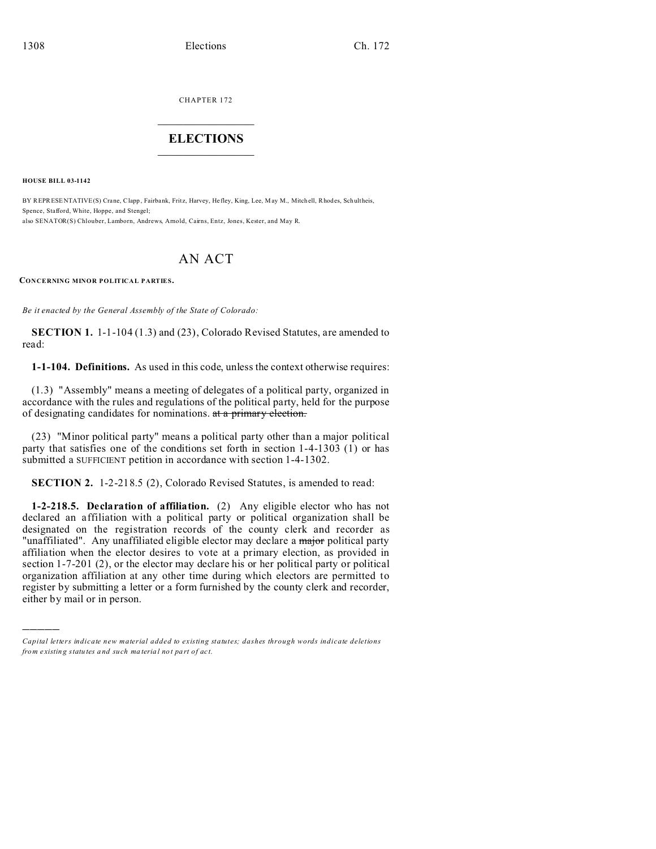CHAPTER 172  $\overline{\phantom{a}}$  , where  $\overline{\phantom{a}}$ 

## **ELECTIONS**  $\_$

**HOUSE BILL 03-1142**

)))))

BY REPRESENTATIVE(S) Crane, Clapp , Fairbank, Fritz, Harvey, Hefley, King, Lee, May M., Mitch ell, Rhod es, Schultheis, Spence, Stafford, White, Hoppe, and Stengel; also SENATOR(S) Chlouber, Lamborn, Andrews, Arnold, Cairns, Entz, Jones, Kester, and May R.

# AN ACT

**CONCERNING MINOR POLITICAL PARTIES.**

*Be it enacted by the General Assembly of the State of Colorado:*

**SECTION 1.** 1-1-104 (1.3) and (23), Colorado Revised Statutes, are amended to read:

**1-1-104. Definitions.** As used in this code, unless the context otherwise requires:

(1.3) "Assembly" means a meeting of delegates of a political party, organized in accordance with the rules and regulations of the political party, held for the purpose of designating candidates for nominations. at a primary election.

(23) "Minor political party" means a political party other than a major political party that satisfies one of the conditions set forth in section 1-4-1303 (1) or has submitted a SUFFICIENT petition in accordance with section 1-4-1302.

**SECTION 2.** 1-2-218.5 (2), Colorado Revised Statutes, is amended to read:

**1-2-218.5. Declaration of affiliation.** (2) Any eligible elector who has not declared an affiliation with a political party or political organization shall be designated on the registration records of the county clerk and recorder as "unaffiliated". Any unaffiliated eligible elector may declare a major political party affiliation when the elector desires to vote at a primary election, as provided in section 1-7-201 (2), or the elector may declare his or her political party or political organization affiliation at any other time during which electors are permitted to register by submitting a letter or a form furnished by the county clerk and recorder, either by mail or in person.

*Capital letters indicate new material added to existing statutes; dashes through words indicate deletions from e xistin g statu tes a nd such ma teria l no t pa rt of ac t.*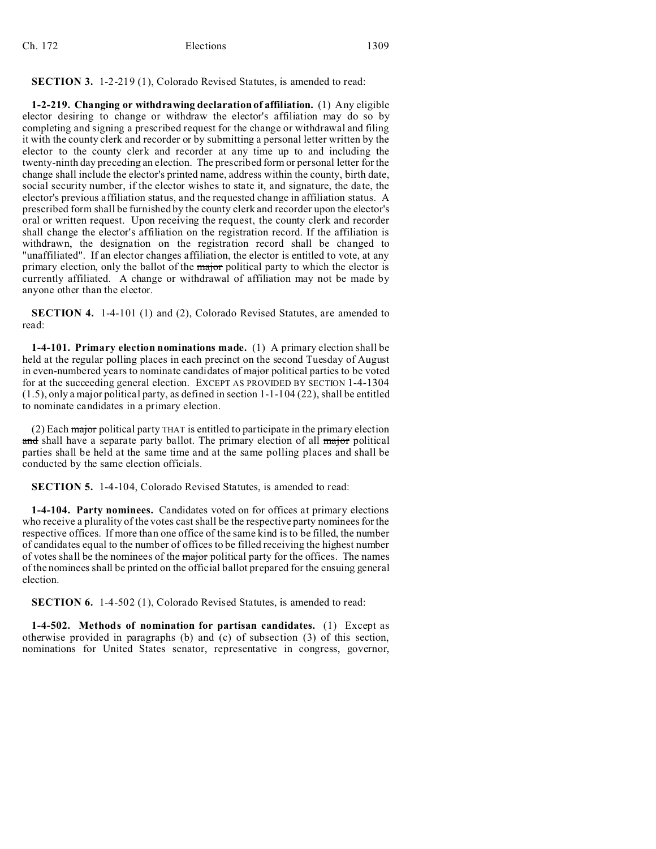#### **SECTION 3.** 1-2-219 (1), Colorado Revised Statutes, is amended to read:

**1-2-219. Changing or withdrawing declaration of affiliation.** (1) Any eligible elector desiring to change or withdraw the elector's affiliation may do so by completing and signing a prescribed request for the change or withdrawal and filing it with the county clerk and recorder or by submitting a personal letter written by the elector to the county clerk and recorder at any time up to and including the twenty-ninth day preceding an election. The prescribed form or personal letter for the change shall include the elector's printed name, address within the county, birth date, social security number, if the elector wishes to state it, and signature, the date, the elector's previous affiliation status, and the requested change in affiliation status. A prescribed form shall be furnished by the county clerk and recorder upon the elector's oral or written request. Upon receiving the request, the county clerk and recorder shall change the elector's affiliation on the registration record. If the affiliation is withdrawn, the designation on the registration record shall be changed to "unaffiliated". If an elector changes affiliation, the elector is entitled to vote, at any primary election, only the ballot of the major political party to which the elector is currently affiliated. A change or withdrawal of affiliation may not be made by anyone other than the elector.

**SECTION 4.** 1-4-101 (1) and (2), Colorado Revised Statutes, are amended to read:

**1-4-101. Primary election nominations made.** (1) A primary election shall be held at the regular polling places in each precinct on the second Tuesday of August in even-numbered years to nominate candidates of major political parties to be voted for at the succeeding general election. EXCEPT AS PROVIDED BY SECTION 1-4-1304 (1.5), only a major political party, as defined in section 1-1-104 (22), shall be entitled to nominate candidates in a primary election.

(2) Each  $\frac{1}{\text{major}}$  political party THAT is entitled to participate in the primary election and shall have a separate party ballot. The primary election of all major political parties shall be held at the same time and at the same polling places and shall be conducted by the same election officials.

**SECTION 5.** 1-4-104, Colorado Revised Statutes, is amended to read:

**1-4-104. Party nominees.** Candidates voted on for offices at primary elections who receive a plurality of the votes cast shall be the respective party nominees for the respective offices. If more than one office of the same kind is to be filled, the number of candidates equal to the number of offices to be filled receiving the highest number of votes shall be the nominees of the major political party for the offices. The names of the nominees shall be printed on the official ballot prepared for the ensuing general election.

**SECTION 6.** 1-4-502 (1), Colorado Revised Statutes, is amended to read:

**1-4-502. Methods of nomination for partisan candidates.** (1) Except as otherwise provided in paragraphs (b) and (c) of subsection (3) of this section, nominations for United States senator, representative in congress, governor,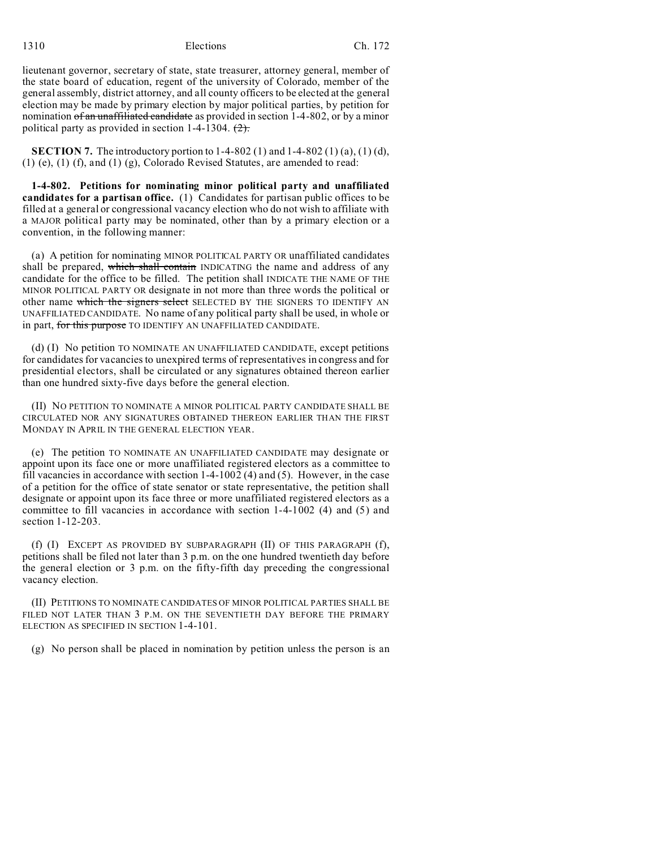1310 **Elections** Ch. 172

lieutenant governor, secretary of state, state treasurer, attorney general, member of the state board of education, regent of the university of Colorado, member of the general assembly, district attorney, and all county officers to be elected at the general election may be made by primary election by major political parties, by petition for nomination of an unaffiliated candidate as provided in section 1-4-802, or by a minor political party as provided in section 1-4-1304.  $(2)$ .

**SECTION 7.** The introductory portion to 1-4-802 (1) and 1-4-802 (1) (a), (1) (d), (1) (e), (1) (f), and (1) (g), Colorado Revised Statutes, are amended to read:

**1-4-802. Petitions for nominating minor political party and unaffiliated candidates for a partisan office.** (1) Candidates for partisan public offices to be filled at a general or congressional vacancy election who do not wish to affiliate with a MAJOR political party may be nominated, other than by a primary election or a convention, in the following manner:

(a) A petition for nominating MINOR POLITICAL PARTY OR unaffiliated candidates shall be prepared, which shall contain INDICATING the name and address of any candidate for the office to be filled. The petition shall INDICATE THE NAME OF THE MINOR POLITICAL PARTY OR designate in not more than three words the political or other name which the signers select SELECTED BY THE SIGNERS TO IDENTIFY AN UNAFFILIATED CANDIDATE. No name of any political party shall be used, in whole or in part, for this purpose TO IDENTIFY AN UNAFFILIATED CANDIDATE.

(d) (I) No petition TO NOMINATE AN UNAFFILIATED CANDIDATE, except petitions for candidates for vacancies to unexpired terms of representatives in congress and for presidential electors, shall be circulated or any signatures obtained thereon earlier than one hundred sixty-five days before the general election.

(II) NO PETITION TO NOMINATE A MINOR POLITICAL PARTY CANDIDATE SHALL BE CIRCULATED NOR ANY SIGNATURES OBTAINED THEREON EARLIER THAN THE FIRST MONDAY IN APRIL IN THE GENERAL ELECTION YEAR.

(e) The petition TO NOMINATE AN UNAFFILIATED CANDIDATE may designate or appoint upon its face one or more unaffiliated registered electors as a committee to fill vacancies in accordance with section  $1-4-1002(4)$  and (5). However, in the case of a petition for the office of state senator or state representative, the petition shall designate or appoint upon its face three or more unaffiliated registered electors as a committee to fill vacancies in accordance with section 1-4-1002 (4) and (5) and section 1-12-203.

(f) (I) EXCEPT AS PROVIDED BY SUBPARAGRAPH (II) OF THIS PARAGRAPH (f), petitions shall be filed not later than 3 p.m. on the one hundred twentieth day before the general election or 3 p.m. on the fifty-fifth day preceding the congressional vacancy election.

(II) PETITIONS TO NOMINATE CANDIDATES OF MINOR POLITICAL PARTIES SHALL BE FILED NOT LATER THAN 3 P.M. ON THE SEVENTIETH DAY BEFORE THE PRIMARY ELECTION AS SPECIFIED IN SECTION 1-4-101.

(g) No person shall be placed in nomination by petition unless the person is an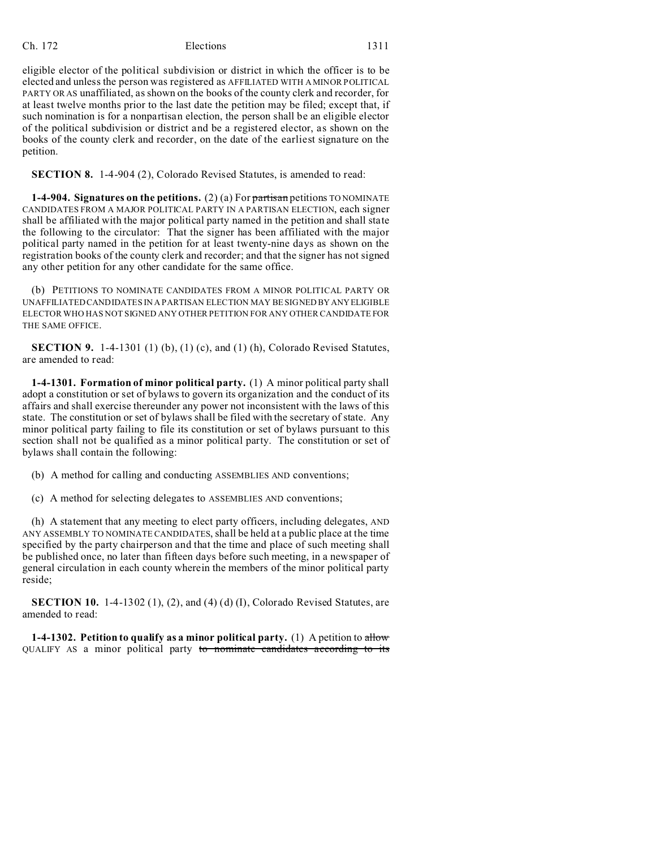# Ch. 172 Elections 1311

eligible elector of the political subdivision or district in which the officer is to be elected and unless the person was registered as AFFILIATED WITH A MINOR POLITICAL PARTY OR AS unaffiliated, as shown on the books of the county clerk and recorder, for at least twelve months prior to the last date the petition may be filed; except that, if such nomination is for a nonpartisan election, the person shall be an eligible elector of the political subdivision or district and be a registered elector, as shown on the books of the county clerk and recorder, on the date of the earliest signature on the petition.

**SECTION 8.** 1-4-904 (2), Colorado Revised Statutes, is amended to read:

**1-4-904. Signatures on the petitions.** (2) (a) For partisan petitions TO NOMINATE CANDIDATES FROM A MAJOR POLITICAL PARTY IN A PARTISAN ELECTION, each signer shall be affiliated with the major political party named in the petition and shall state the following to the circulator: That the signer has been affiliated with the major political party named in the petition for at least twenty-nine days as shown on the registration books of the county clerk and recorder; and that the signer has not signed any other petition for any other candidate for the same office.

(b) PETITIONS TO NOMINATE CANDIDATES FROM A MINOR POLITICAL PARTY OR UNAFFILIATED CANDIDATES IN A PARTISAN ELECTION MAY BE SIGNED BY ANYELIGIBLE ELECTOR WHO HAS NOT SIGNED ANY OTHER PETITION FOR ANY OTHER CANDIDATE FOR THE SAME OFFICE.

**SECTION 9.** 1-4-1301 (1) (b), (1) (c), and (1) (h), Colorado Revised Statutes, are amended to read:

**1-4-1301. Formation of minor political party.** (1) A minor political party shall adopt a constitution or set of bylaws to govern its organization and the conduct of its affairs and shall exercise thereunder any power not inconsistent with the laws of this state. The constitution or set of bylaws shall be filed with the secretary of state. Any minor political party failing to file its constitution or set of bylaws pursuant to this section shall not be qualified as a minor political party. The constitution or set of bylaws shall contain the following:

(b) A method for calling and conducting ASSEMBLIES AND conventions;

(c) A method for selecting delegates to ASSEMBLIES AND conventions;

(h) A statement that any meeting to elect party officers, including delegates, AND ANY ASSEMBLY TO NOMINATE CANDIDATES, shall be held at a public place at the time specified by the party chairperson and that the time and place of such meeting shall be published once, no later than fifteen days before such meeting, in a newspaper of general circulation in each county wherein the members of the minor political party reside;

**SECTION 10.** 1-4-1302 (1), (2), and (4) (d) (I), Colorado Revised Statutes, are amended to read:

**1-4-1302. Petition to qualify as a minor political party.** (1) A petition to allow QUALIFY AS a minor political party to nominate candidates according to its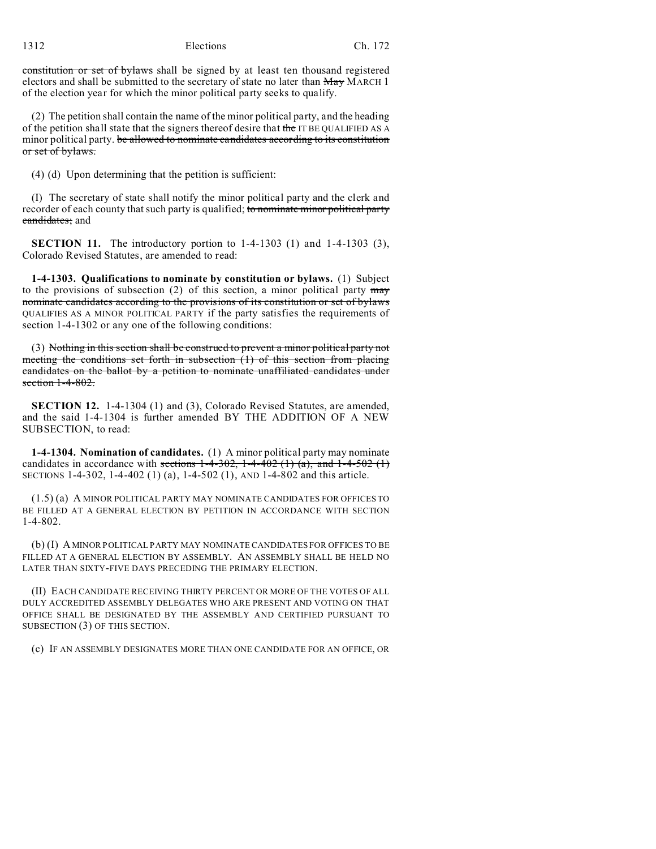constitution or set of bylaws shall be signed by at least ten thousand registered electors and shall be submitted to the secretary of state no later than  $\frac{M_{\text{av}}}{M_{\text{av}}}$  MARCH 1 of the election year for which the minor political party seeks to qualify.

(2) The petition shall contain the name of the minor political party, and the heading of the petition shall state that the signers thereof desire that the IT BE QUALIFIED AS A minor political party. be allowed to nominate candidates according to its constitution or set of bylaws.

(4) (d) Upon determining that the petition is sufficient:

(I) The secretary of state shall notify the minor political party and the clerk and recorder of each county that such party is qualified; to nominate minor political party candidates; and

**SECTION 11.** The introductory portion to 1-4-1303 (1) and 1-4-1303 (3), Colorado Revised Statutes, are amended to read:

**1-4-1303. Qualifications to nominate by constitution or bylaws.** (1) Subject to the provisions of subsection  $(2)$  of this section, a minor political party  $\frac{may}{l}$ nominate candidates according to the provisions of its constitution or set of bylaws QUALIFIES AS A MINOR POLITICAL PARTY if the party satisfies the requirements of section 1-4-1302 or any one of the following conditions:

(3) Nothing in this section shall be construed to prevent a minor political party not meeting the conditions set forth in subsection (1) of this section from placing candidates on the ballot by a petition to nominate unaffiliated candidates under section 1-4-802.

**SECTION 12.** 1-4-1304 (1) and (3), Colorado Revised Statutes, are amended, and the said 1-4-1304 is further amended BY THE ADDITION OF A NEW SUBSECTION, to read:

**1-4-1304. Nomination of candidates.** (1) A minor political party may nominate candidates in accordance with sections  $1-4-302$ ,  $1-4-402$  (1) (a), and  $1-4-502$  (1) SECTIONS 1-4-302, 1-4-402 (1) (a), 1-4-502 (1), AND 1-4-802 and this article.

(1.5) (a) A MINOR POLITICAL PARTY MAY NOMINATE CANDIDATES FOR OFFICES TO BE FILLED AT A GENERAL ELECTION BY PETITION IN ACCORDANCE WITH SECTION  $1 - 4 - 802$ .

(b) (I) A MINOR POLITICAL PARTY MAY NOMINATE CANDIDATES FOR OFFICES TO BE FILLED AT A GENERAL ELECTION BY ASSEMBLY. AN ASSEMBLY SHALL BE HELD NO LATER THAN SIXTY-FIVE DAYS PRECEDING THE PRIMARY ELECTION.

(II) EACH CANDIDATE RECEIVING THIRTY PERCENT OR MORE OF THE VOTES OF ALL DULY ACCREDITED ASSEMBLY DELEGATES WHO ARE PRESENT AND VOTING ON THAT OFFICE SHALL BE DESIGNATED BY THE ASSEMBLY AND CERTIFIED PURSUANT TO SUBSECTION (3) OF THIS SECTION.

(c) IF AN ASSEMBLY DESIGNATES MORE THAN ONE CANDIDATE FOR AN OFFICE, OR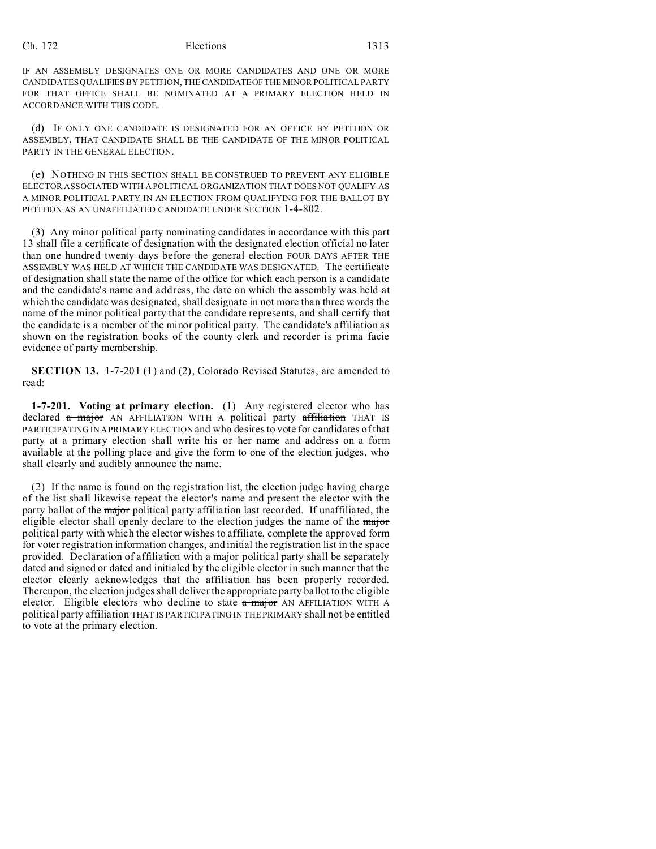## Ch. 172 Elections 1313

IF AN ASSEMBLY DESIGNATES ONE OR MORE CANDIDATES AND ONE OR MORE CANDIDATES QUALIFIES BY PETITION, THE CANDIDATEOF THE MINOR POLITICAL PARTY FOR THAT OFFICE SHALL BE NOMINATED AT A PRIMARY ELECTION HELD IN ACCORDANCE WITH THIS CODE.

(d) IF ONLY ONE CANDIDATE IS DESIGNATED FOR AN OFFICE BY PETITION OR ASSEMBLY, THAT CANDIDATE SHALL BE THE CANDIDATE OF THE MINOR POLITICAL PARTY IN THE GENERAL ELECTION.

(e) NOTHING IN THIS SECTION SHALL BE CONSTRUED TO PREVENT ANY ELIGIBLE ELECTOR ASSOCIATED WITH A POLITICAL ORGANIZATION THAT DOES NOT QUALIFY AS A MINOR POLITICAL PARTY IN AN ELECTION FROM QUALIFYING FOR THE BALLOT BY PETITION AS AN UNAFFILIATED CANDIDATE UNDER SECTION 1-4-802.

(3) Any minor political party nominating candidates in accordance with this part 13 shall file a certificate of designation with the designated election official no later than one hundred twenty days before the general election FOUR DAYS AFTER THE ASSEMBLY WAS HELD AT WHICH THE CANDIDATE WAS DESIGNATED. The certificate of designation shall state the name of the office for which each person is a candidate and the candidate's name and address, the date on which the assembly was held at which the candidate was designated, shall designate in not more than three words the name of the minor political party that the candidate represents, and shall certify that the candidate is a member of the minor political party. The candidate's affiliation as shown on the registration books of the county clerk and recorder is prima facie evidence of party membership.

**SECTION 13.** 1-7-201 (1) and (2), Colorado Revised Statutes, are amended to read:

**1-7-201. Voting at primary election.** (1) Any registered elector who has declared a major AN AFFILIATION WITH A political party affiliation THAT IS PARTICIPATING IN A PRIMARY ELECTION and who desires to vote for candidates of that party at a primary election shall write his or her name and address on a form available at the polling place and give the form to one of the election judges, who shall clearly and audibly announce the name.

(2) If the name is found on the registration list, the election judge having charge of the list shall likewise repeat the elector's name and present the elector with the party ballot of the *major* political party affiliation last recorded. If unaffiliated, the eligible elector shall openly declare to the election judges the name of the major political party with which the elector wishes to affiliate, complete the approved form for voter registration information changes, and initial the registration list in the space provided. Declaration of affiliation with a major political party shall be separately dated and signed or dated and initialed by the eligible elector in such manner that the elector clearly acknowledges that the affiliation has been properly recorded. Thereupon, the election judges shall deliver the appropriate party ballot to the eligible elector. Eligible electors who decline to state  $\alpha$  major AN AFFILIATION WITH A political party affiliation THAT IS PARTICIPATING IN THE PRIMARY shall not be entitled to vote at the primary election.